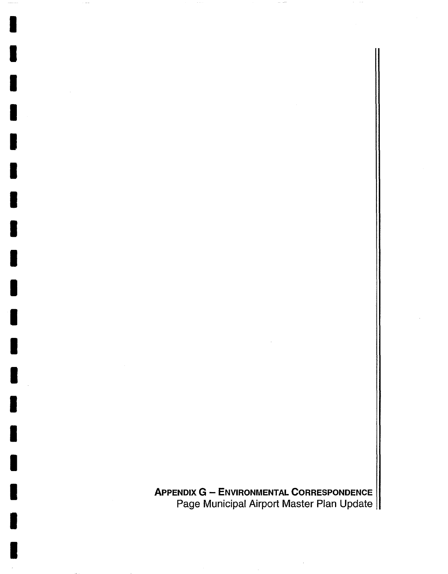**APPENDIX G - ENVIRONMENTAL CORRESPONDENCE**  Page Municipal Airport Master Plan Update

I

I

I

I

I

I

I

I

I

I

I

I

I

I

I

I

I

I

I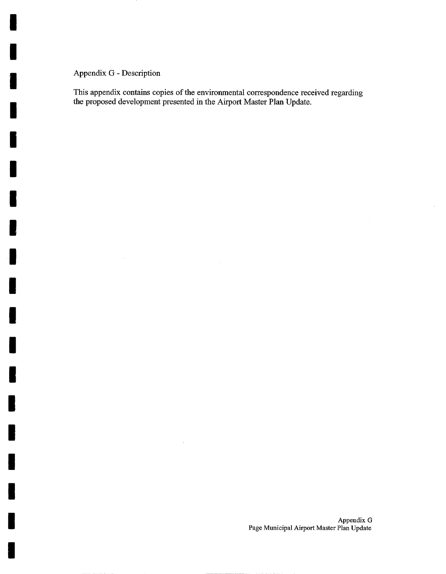## Appendix G - Description

I

I

I

I

I

I

I

I

I

I

I

I

I

I

I

I

I

I

I

This appendix contains copies of the environmental correspondence received regarding the proposed development presented in the Airport Master Plan Update.

 $\bar{z}$ 

 $\mathcal{L}$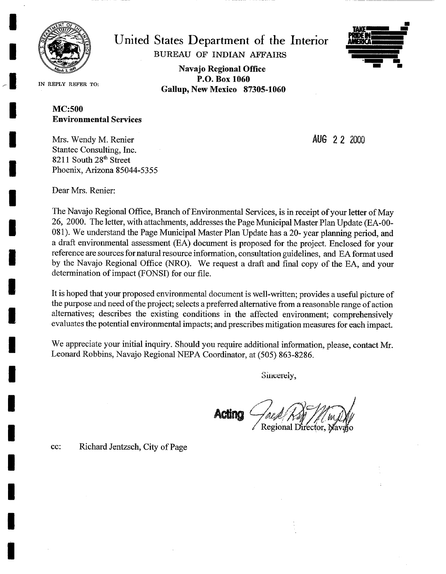

**I** 

**I** 

**I** 

**I** 

**I** 

**I** 

**I** 

**I** 

**I** 

**I** 

**I** 

**I** 

**I** 

**I** 

**1** 

**I** 

**United States Department of the Interior**  BUREAU OF INDIAN *AFFAIRS* 

> **Navajo Regional Office P.O. Box 1060 Gallup, New Mexico 87305-1060**



IN REPLY REFER **TO:** 

## MC:500 **Environmental Services**

Mrs. Wendy M. Renier Stantec Consulting, Inc.  $8211$  South  $28<sup>th</sup>$  Street Phoenix, Arizona 85044-5355 **AUG 2 2 2OOO** 

Dear Mrs. Renier:

The Navajo Regional Office, Branch of Environmental Services, is in receipt of your letter of May 26, 2000. The letter, with attachments, addresses the Page Municipal Master Plan Update (EA-00- 081). We understand the Page Municipal Master Plan Update has a 20- year planning period, and a draft environmental assessment (EA) document is proposed for the project. Enclosed for your reference are sources for natural resource information, consultation guidelines, and EA format used by the Navajo Regional Office (NRO). We request a draft and final copy of the EA, and your determination of impact (FONSI) for our file.

It is hoped that your proposed environmental document is well-written; provides a useful picture of the purpose and need of the project; selects a preferred alternative from a reasonable range of action alternatives; describes the existing conditions in the affected environment; comprehensively evaluates the potential environmental impacts; and prescribes mitigation measures for each impact.

We appreciate your initial inquiry. Should you require additional information, please, contact Mr. Leonard Robbins, Navajo Regional NEPA Coordinator, at (505) 863-8286.

Sincerely,

Regional Director, Navajo

CC: Richard Jentzsch, City of Page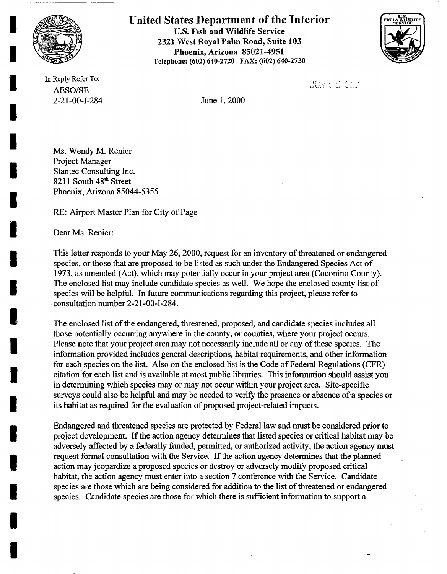

**I** 

**I** 

**I** 

**I** 

**I** 

**i** 

**I** 

**I** 

**I** 

**I** 

**l** 

**I** 

I

**I** 

**I** 

**I** 

**I** 

**United States Department of the Interior**  U.S. Fish and Wildlife Service 2321 West Royal Palm Road, Suite 103 Phoenix, Arizona 85021-4951 Telephone: (602) 640-2720 FAX: (602) 640-2730



In Reply Refer To: AESO/SE 2-21-00-1-284 June 1, 2000

JUN 05 220

Ms. Wendy M. Renier Project Manager Stantec Consulting Inc. 8211 South  $48<sup>th</sup>$  Street Phoenix, Arizona 85044-5355

RE: Airport Master Plan for City of Page

Dear Ms. Renier:

This letter responds to your May 26, 2000, request for an inventory of threatened or endangered species, or those that are proposed to be listed as such under the Endangered Species Act of 1973, as amended (Act), which may potentially occur in your project area (Coconino County). The enclosed list may include candidate species as well. We hope the enclosed county list of species will be helpful. In future communications regarding this project, please refer to consultation number 2-21-00-I-284.

The enclosed list of the endangered, threatened, proposed, and candidate species includes all those potentially occurring anywhere in the county, or counties, where your project occurs. Please note that your project area may not necessarily include all or any of these species. The information provided includes general descriptions, habitat requirements, and other information for each species on the list. Also on the enclosed list is the Code of Federal Regulations (CFR) citation for each list and is available at most public libraries. This information should assist you in determining which species may or may not occur within your project area. Site-specific surveys could also be helpful and may be needed to verify the presence or absence of a species or its habitat as required for the evaluation of proposed project-related impacts.

Endangered and threatened species are protected by Federal law and must be considered prior to project development. If the action agency determines that listed species or critical habitat may be adversely affected by a federally funded, permitted, or authorized activity, the action agency must request formal consultation with the Service. If the action agency determines that the planned action may jeopardize a proposed species or destroy or adversely modify proposed critical habitat, the action agency must enter into a section 7 conference with the Service. Candidate species are those which are being considered for addition to the list of threatened or endangered species. Candidate species are those for which there is sufficient information to support a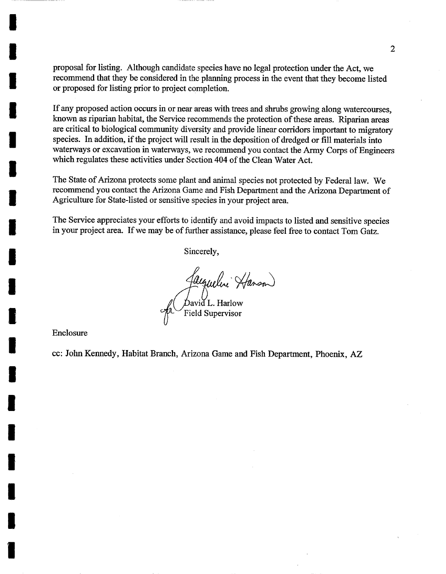proposal for listing. Although candidate species have no legal protection under the Act, we recommend that they be considered in the planning process in the event that they become listed or proposed for listing prior to project completion.

If any proposed action occurs in or near areas with trees and shrubs growing along watercourses, known as riparian habitat, the Service recommends the protection of these areas. Riparian areas are critical to biological community diversity and provide linear corridors important to migratory species. In addition, if the project will result in the deposition of dredged or fill materials into waterways or excavation in waterways, we recommend you contact the Army Corps of Engineers which regulates these activities under Section 404 of the Clean Water Act.

The State of Arizona protects some plant and animal species not protected by Federal law. We recommend you contact the Arizona Game and Fish Department and the Arizona Department of Agriculture for State-listed or sensitive species in your project area.

The Service appreciates your efforts to identify and avoid impacts to listed and sensitive species in your project area. If we may be of further assistance, please feel free to contact Tom Gatz.

Sincerely,

Jacqueline Hanson)<br>David L. Harlow Field Supervisor

Enclosure

I

I

I

I

I

I

I

I

I

I

I

I

I

I

I

I

I

I

I

cc: John Kennedy, Habitat Branch, Arizona Game and Fish Department, Phoenix, AZ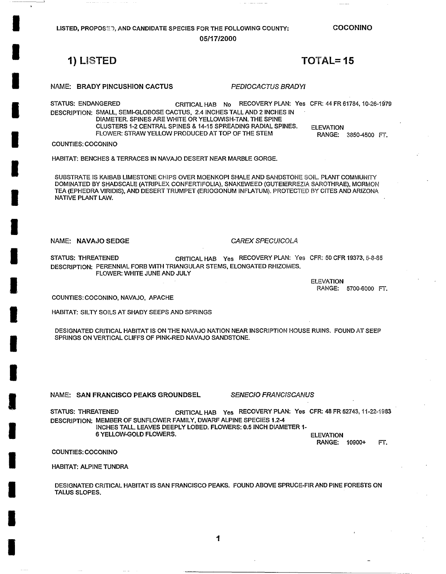LISTED, PROPOSED, AND CANDIDATE SPECIES FOR THE FOLLOWING COUNTY: **05/17•2000** 

**COCONINO** 

# **1) LmSTED TOTAL= 15**

**I** 

**I** 

**I** 

**I** 

**I** 

**I** 

**I** 

**I** 

**I** 

**I** 

**I** 

**I** 

**I** 

**I** 

**I** 

**I** 

**I** 

**I** 

**I** 

NAME: BRADY PINCUSHION CACTUS *PEDIOCACTUS BRADY!* 

STATUS: ENDANGERED CRITICAL HAB No RECOVERY PLAN: Yes CFR: 44 FR 61784, 10-26-1979 DESCRIPTION: SMALL, SEMI-GLOBOSE CACTUS, 2.4 INCHES TALLAND 2 INCHES IN DIAMETER. SPINES ARE WHITE OR YELLOWISH-TAN. THE SPINE CLUSTERS 1-2 CENTRAL SPINES & 14-15 SPREADING RADIAL SPINES. ELEVATION FLOWER: STRAW YELLOW PRODUCED AT TOP OF THE STEM RANGE: 3850-4500 FT.

COUNTIES: COCONINO

HABITAT: BENCHES & TERRACES IN NAVAJO DESERT NEAR MARBLE GORGE.

SUBSTRATE IS KAIBAB LIMESTONE CHIPS OVER MOENKOPI SHALE AND SANDSTONE SOIL. PLANT COMMUNITY DOMINATED BY SHADSCALE (ATRIPLEX CONFERTIFOLIA), SNAKEWEED (GUTEIERREZIA SAROTHRAE), MORMON TEA (EPHEDRA VIRIDIS), AND DESERT TRUMPET (ERIOGONUM INFLATUM). PROTECTED BY CITES AND ARIZONA NATIVE PLANT LAW.

NAME: NAVAJO SEDGE *CAREX SPECUICOLA* 

STATUS: THREATENED CRITICAL HAB Yes RECOVERY PLAN: Yes CFR: 50 CFR 19373, 5-8-85 DESCRIPTION: PERENNIAL FORB WITH TRIANGULAR STEMS, ELONGATED RHIZOMES. FLOWER: WHITE JUNE AND JULY

> ELEVATION RANGE: 5700-6000 FT.

COUNTIES: COCONINO, NAVAJO, APACHE

HABITAT: SILTY SOILS AT SHADY SEEPS AND SPRINGS

DESIGNATED CRITICAL HABITAT IS ON THE NAVAJO NATION NEAR INSCRIPTION HOUSE RUINS. FOUND AT SEEP SPRINGS ON VERTICAL CLIFFS OF PINK-RED NAVAJO SANDSTONE.

**NAME: SAN FRANCISCO PEAKS GROUNDSEL** *SENECIO FRANCISCANUS* 

STATUS: THREATENED CRITICAL HAB Yes RECOVERY PLAN: Yes CFR: 48 FR 52743, 11-22-1983 DESCRIPTION: MEMBER OF SUNFLOWER FAMILY, DWARF ALPINE SPECIES 1.2-4 INCHES TALL. LEAVES DEEPLY LOBED. FLOWERS: 0.5 INCH DIAMETER 1- 6 YELLOW-GOLD FLOWERS. ELEVATION

RANGE: t0900+ FT.

COUNTIES: COCONINO

HABITAT: ALPINE TUNDRA

DESIGNATED CRITICAL HABITAT IS SAN FRANCISCO PEAKS. FOUND ABOVE SPRUCE-FIR AND PINE FORESTS ON TALUS SLOPES.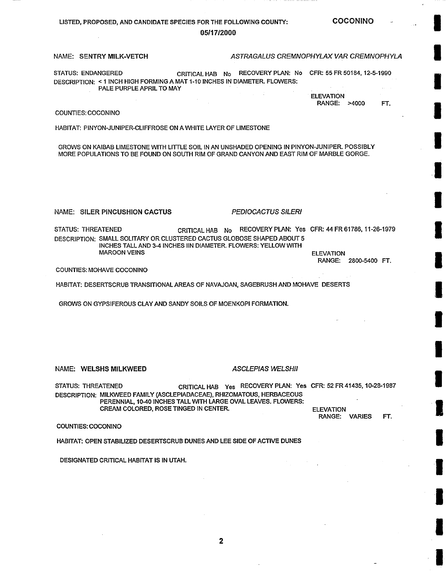# LISTED, PROPOSED, AND CANDIDATE SPECIES FOR THE FOLLOWING **COUNTY:**

**COCONINO** 

### **05117/2000**

### NAME: SENTRY MILK-VETCH *ASTRAGALUS CREMNOPHYLAX VAR CREMNOPHYLA*

STATUS: ENDANGERED CRITICAL HAB No RECOVERY PLAN: No CFR: 55 FR 50184, 12-5-1990 DESCRIPTION: < 1 INCH HIGH FORMING A MAT 1-10 INCHES IN DIAMETER. FLOWERS: PALE PURPLE APRIL TO MAY

> **ELEVATION** RANGE: >4000 FT.

### COUNTIES: COCONINO

HABITAT: PINYON-JUNIPER-CLIFFROSE ON A WHITE LAYER OF LIMESTONE

GROWS ON KAIBAB LIMESTONE WITH LITTLE SOIL IN AN UNSHADED OPENING IN PINYON-JUNIPER. POSSIBLY MORE POPULATIONS TO BE FOUND ON SOUTH RIM OF GRAND CANYON AND EAST RIM OF MARBLE GORGE.

 $\mathcal{L}_{\mathcal{L}}$ 

NAME: SILER PINCUSHION CACTUS *PEDIOCACTUS SILERI* 

STATUS: THREATENED CRITICAL HAB No RECOVERY PLAN: Yes CFR: 44 FR 61786, 11-26-1979 DESCRIPTION: SMALL SOLITARY OR CLUSTERED CACTUS GLOBOSE SHAPED ABOUT 5 INCHES TALL AND 3-4 INCHES IIN DIAMETER. FLOWERS: YELLOW WITH MAROON VEINS ELEVATION

RANGE: 2800-5400 FT.

COUNTIES: MOHAVE COCONINO

HABITAT: DESERTSCRUB TRANSITIONAL AREAS OF NAVAJOAN, SAGEBRUSH AND MOHAVE DESERTS

GROWS ON GYPSIFEROUS CLAY AND SANDY SOILS OF MOENKOPI FORMATION.

### NAME: WELSHS MILKWEED *ASCLEPIAS WELSHII*

STATUS: THREATENED CRITICAL HAB Yes RECOVERY PLAN: Yes CFR: 52 FR 41435, 10-28-1987 DESCRIPTION: MILKWEED FAMILY (ASCLEPIADACEAE), RHIZOMATOUS, HERBACEOUS PERENNIAL, 10-40 INCHES TALL WITH LARGE OVAL LEAVES. FLOWERS: CREAM COLORED, ROSE TINGED IN CENTER. ELEVATION

RANGE: VARIES FT.

COUNTIES: COCONINO

HABITAT: OPEN STABILIZED DESERTSCRUB DUNES AND LEE SIDE OF ACTIVE DUNES

DESIGNATED CRITICAL HABITAT IS IN UTAH.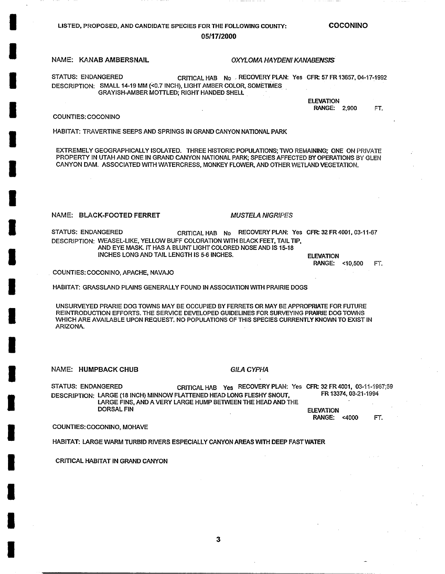## LISTED, PROPOSED, AND CANDIDATE SPECIES FOR THE FOLLOWING **COUNTY:**  05117•2000

NAME: KANAB AMBERSNAIL *OXYL OMA HA YDEN! KANABENSI~.* 

STATUS: ENDANGERED CRITICAL HAB No RECOVERY PLAN: Yes CFR: 57 FR 13657, 04-17-1992 DESCRIPTION: SMALL 14-19 MM (<0.7 INCH), LIGHT AMBER COLOR, SOMETIMES

GRAYISH-AMBER MOTTLED; RIGHT HANDED SHELL

## COUNTIES: COCONINO

**I** 

**I** 

**I** 

**I** 

**I** 

**I** 

**I** 

**I** 

**I** 

**I** 

**I** 

**I** 

**I** 

**I** 

**I** 

**I** 

**I** 

**I** 

**I** 

HABITAT: TRAVERTINE SEEPS AND SPRINGS IN GRAND CANYON NATIONAL PARK

EXTREMELY GEOGRAPHICALLY ISOLATED. THREE HISTORIC POPULATIONS; TWO REMAINING; ONE ON PRIVATE PROPERTY IN UTAH AND ONE IN GRAND CANYON NATIONAL PARK; SPECIES AFFECTED BY OPERATIONS BY GLEN CANYON DAM. ASSOCIATED WITH WATERCRESS, MONKEY FLOWER, AND OTHER WETLAND VEGETATION.

### NAME: BLACK-FOOTED **FERRET** *MUSTELA NIGRIF'ES*

STATUS: ENDANGERED CRITICAL HAB No RECOVERY PLAN: Yes CFR: 32 FR 4001, 03-11-67 DESCRIPTION: WEASEL-LIKE, YELLOW BUFF COLORATION WITH BLACK FEET, TAIL TIP, AND EYE MASK. IT HAS A BLUNT LIGHT COLORED NOSE AND IS 15-18 INCHES LONG AND TAIL LENGTH IS 5-6 INCHES. ELEVATION

RANGE: <10,500 FT.

• COUNTIES: COCONINO, APACHE, NAVAJO

HABITAT: GRASSLAND PLAINS GENERALLY FOUND IN ASSOCIATION WITH PRAIRIE DOGS

UNSURVEYED PRARIE DOG TOWNS MAY BE OCCUPIED BY FERRETS OR MAY BE APPROPRIATE FOR FUTURE REINTRODUCTION EFFORTS. THE SERVICE DEVELOPED GUIDELINES FOR SURVEYING PRAIRIE DOG TOWNS WHICH ARE AVAILABLE UPON REQUEST. NO POPULATIONS OF THIS SPECIES CURRENTLY KNOWN TO EXIST IN ARIZONA.

NAME: HUMPBACK CHUB *GILA CYPHA* 

STATUS: ENDANGERED CRITICAL HAB Yes RECOVERY PLAN: Yes CFR: 32 FR 4001, 03~I1 ¢I967;59 DESCRIPTION: LARGE (18 INCH) MINNOW FLATTENED HEAD LONG FLESHY SNOUT, LARGE FINS, AND A VERY LARGE HUMP BETWEEN THE HEAD AND THE DORSAL FIN FR 13374, 03-21-t994 ELEVATION

**RANGE:** <4000 FT.

COUNTIES: COCONINO, MOHAVE

HABITAT: LARGE WARM TURBID RIVERS ESPECIALLY CANYON AREAS WITH DEEP FAST WATER

CRITICAL HABITAT IN GRAND CANYON

COCONINO

ELEVATION **RANGE:** 2,900 FT.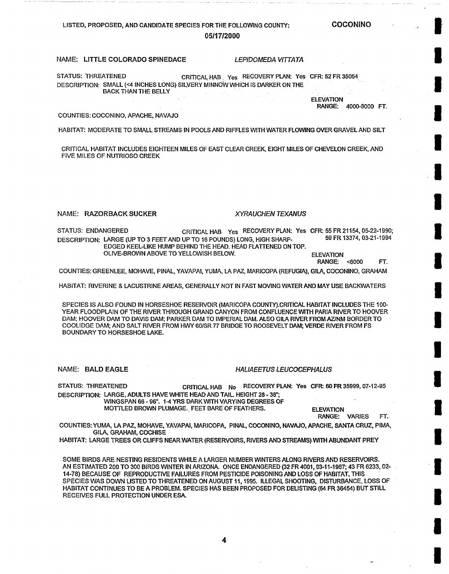## LISTED, PROPOSED, AND CANDIDATE SPECIES FOR THE FOLLOWING COUNTY: **05/17•2000**

**COCONINO** 

**I** 

**I** 

**I** 

**l** 

**I** 

**I** 

**I** 

**u** 

**I** 

**I** 

**I** 

**I** 

**I** 

 $\blacksquare$ 

**I** 

**I** 

**I** 

**I** 

**I** 

### NAME: LITTLE COLORADO SPINEDACE *LEPIDOMEDA VITTATA*

STATUS: THREATENED CRITICAL HAB Yes RECOVERY PLAN: Yes CFR: 52 FR 35054 DESCRIPTION: SMALL (<4 INCHES LONG) SILVERY MINNOW WHICH IS DARKER ON THE BACK THAN THE BELLY

> **ELEVATION RANGE:** 4000-8000 FT.

### COUNTIES: COCONINO, APACHE, NAVAJO

HABITAT: MODERATE TO SMALL STREAMS IN POOLS AND RIFFLES WITH WATER FLOWING OVER GRAVEL AND SILT

CRITICAL HABITAT INCLUDES EIGHTEEN MILES OF EAST CLEAR CREEK, EIGHT MILES OF CHEVELON CREEK, AND FIVE MILES OF NUTRIOSO CREEK

### NAME: RAZORBACK SUCKER *XYRAUCHEN TEXANUS*

STATUS: ENDANGERED CRITICAL HAB Yes RECOVERY PLAN: Yes CFR: 55 FR 21154, 05-22-1990;<br>DESCRIPTION: LABGE (UP TO 3 FEET AND UP TO 16 POUNDS) LONG HIGH SHAPP. 59 FR 13374, 03-21-1994 DESCRIPTION: LARGE (UP TO 3 FEET AND UP TO 16 POUNDS) LONG, HIGH SHARP-EDGED KEEL-LIKE HUMP BEHIND THE HEAD. HEAD FLATTENED ON TOP.

OLIVE-BROWN ABOVE TO YELLOWISH BELOW. **ELEVATION** 

RANGE: <6000 FT.

COUNTIES: GREENLEE, MOHAVE, PINAL, YAVAPAI, YUMA, LA PAZ, MARICOPA (REFUGIA), GILA, COCONINO, GRAHAM

HABITAT: RIVERINE & LACUSTRINE AREAS, GENERALLY NOT IN FAST MOVING WATER AND MAY USE BACKWATERS

SPECIES IS ALSO FOUND IN HORSESHOE RESERVOIR (MARICOPA COUNTY).CRITICAL HABITAT INCLUDES THE 100- YEAR FLOODPLAIN OF THE RIVER THROUGH GRAND CANYON FROM CONFLUENCE WITH PARIA RIVER TO HOOVER DAM; HOOVER DAM TO DAVIS DAM; PARKER DAM TO IMPERIAL DAM. ALSO GILA RIVER FROM AZ/NM BORDER TO COOLIDGE DAM; AND SALT RIVER FROM HWY 60/SR 77 BRIDGE TO ROOSEVELT DAM; VERDE RIVER FROM FS BOUNDARY TO HORSESHOE LAKE.

NAME: BALD EAGLE **ALAFFICIAL IN THE HALIAEETUS LEUCOCEPHALUS** 

STATUS: THREATENED CRITICAL HAB No RECOVERY PLAN: Yes CFR: 60 FR 35999, 07-12-95 DESCRIPTION: LARGE, ADULTS HAVE WHITE HEAD AND TAIL. HEIGHT 28 - 38";

WINGSPAN 66 - 96". 1-4 YRS DARK WITH VARYING DEGREES OF MOTTLED BROWN PLUMAGE. FEET BARE OF FEATHERS. ELEVATION

**RANGE:** VARIES FT.

COUNTIES: YUMA, LA PAZ, MOHAVE, YAVAPAI, MARICOPA, PINAL, COCONINO, NAVAJO, APACHE, SANTA CRUZ, PIMA, GILA, GRAHAM, COCHISE

HABITAT: LARGE TREES OR CLIFFS NEAR WATER (RESERVOIRS, RIVERS AND STREAMS) WITH ABUNDANT PREY

SOME BIRDS ARE NESTING RESIDENTS WHILE A LARGER NUMBER WINTERS ALONG RIVERS AND RESERVOIRS. AN ESTIMATED 200 TO 300 BIRDS WINTER IN ARIZONA. ONCE ENDANGERED (32 FR 4001, 03-11-1967; 43 FR 6233, 02- 14-78) BECAUSE OF REPRODUCTIVE FAILURES FROM PESTICIDE POISONING AND LOSS OF HABITAT, THIS SPECIES WAS DOWN LISTED TO THREATENED ON AUGUST 11, 1995. ILLEGAL SHOOTING, DISTURBANCE, LOSS OF HABITAT CONTINUES TO BE A PROBLEM. SPECIES HAS BEEN PROPOSED FOR DELISTING (64 FR 36454) BUT STILL RECEIVES FULL PROTECTION UNDER ESA.

**4**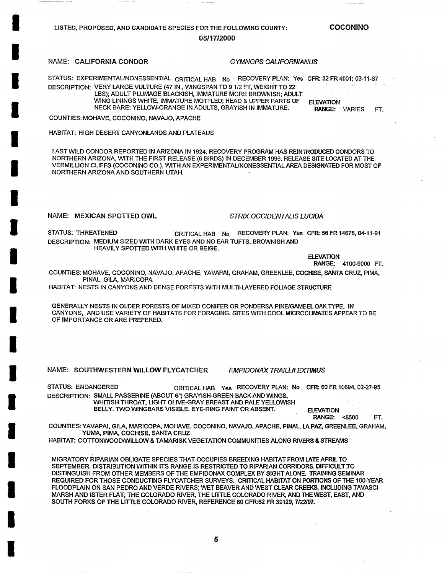## LISTED, PROPOSED, AND CANDIDATE SPECIES FOR THE FOLLOWING COUNTY: 05/t **7•2000**

**COCONINO** 

### NAME: CALIFORNIA CONDOR *GYMNOPS CALIFORNIANUS*

**I** 

**I** 

**I** 

**I** 

**I** 

**I** 

**I** 

**I** 

**I** 

**I** 

**I** 

**I** 

**I** 

**I** 

**I** 

**I** 

**I** 

**I** 

**I** 

STATUS: EXPERIMENTAL/NONESSENTIAL CRITICAL HAB N0 FECOVERY PLAN: Yes CFR: 32 FR 4001; 03-11-67 DESCRIPTION: VERY LARGE VULTURE (47 IN., WINGSPAN TO 9 1/2 FT, WEIGHT TO 22 LBS); ADULT PLUMAGE BLACKISH, IMMATURE MORE BROWNISH; ADULT WING LININGS WHITE, IMMATURE MOTTLED; HEAD & UPPER PARTS OF NECK BARE; YELLOW-ORANGE IN ADULTS, GRAYISH IN IMMATURE. ELEVATION RANGE: VARIES FT.

COUNTIES: MOHAVE, COCONINO, NAVAJO, APACHE

HABITAT: HIGH DESERT CANYONLANDS AND PLATEAUS

LAST WILD CONDOR REPORTED IN ARIZONA IN 1924. RECOVERY PROGRAM HAS REINTRODUCED CONDORS TO NORTHERN ARIZONA, WITH THE FIRST RELEASE (6 BIRDS) IN DECEMBER 1996. RELEASE SITE LOCATED AT THE VERMILLION CLIFFS (COCONINO CO.), WITH AN EXPERIMENTAL/NONESSENTIAL AREA DESIGNATED FOR MOST OF NORTHERN ARIZONA AND SOUTHERN UTAH.

NAME: MEXICAN SPOTTED OWL *STRIX OCCIDENTALIS LUClDA* 

STATUS: THREATENED CRITICAL HAB No RECOVERY PLAN: Yes CFR: 56 FR 14678, 04-11-91 DESCRIPTION: MEDIUM SIZED WITH DARK EYES AND NO EAR TUFTS. BROWNISH AND HEAVILY SPOTTED WITH WHITE OR BEIGE.

# ELEVATION<br>RANGE:

RANGE: 4100-9000 FT.

COUNTIES: MOHAVE, COCONINO, NAVAJO, APACHE, YAVAPAI, GRAHAM, GREENLEE, COCHISE, SANTA CRUZ, PIMA, PINAL, GILA, MARICOPA

HABITAT: NESTS IN CANYONS AND DENSE FORESTS WITH MULTI-LAYERED FOLIAGE STRUCTURE

GENERALLY NESTS IN OLDER FORESTS OF MIXED CONIFER OR PONDERSA PINE/GAMBEL OAK TYPE, IN CANYONS, AND USE VARIETY OF HABITATS FOR FORAGING. SITES WITH COOL MICROCUMATES APPEAR TO BE OF IMPORTANCE OR ARE PREFERED.

NAME: SOUTHWESTERN WILLOW FLYCATCHER *EMPIDONAX TRAILLII EXTIMUS* 

STATUS: ENDANGERED CRITICAL HAB Yes RECOVERY PLAN: No CFR: 60 FR 10694, 02-27-95 DESCRIPTION: SMALL PASSERINE (ABOUT 6") GRAYISH-GREEN BACK AND WINGS, WHITISH THROAT, LIGHT OLIVE-GRAY BREAST AND PALE YELLOWISH

BELLY. TWO WINGBARS VISIBLE. EYE-RING FAINT OR ABSENT. FI EVATION

RANGE: <8500 FT.

COUNTIES: YAVAPAI, GILA, MARICOPA, MOHAVE, COCONINO, NAVAJO, APACHE, PINAL, LA PAZ, GREENLEE, GRAHAM, YUMA, PIMA, COCHISE, SANTA CRUZ

HABITAT: COTTONWOOD/WILLOW & TAMARISK VEGETATION COMMUNITIES ALONG RIVERS & STREAMS

MIGRATORY RIPARIAN OBLIGATE SPECIES THAT OCCUPIES BREEDING HABITAT FROM LATE APRIL TO SEPTEMBER. DISTRIBUTION WITHIN ITS RANGE IS RESTRICTED TO RIPARIAN CORRIDORS. DIFFICULT TO DISTINGUISH FROM OTHER MEMBERS OF THE EMPIDONAX COMPLEX BY SIGHT ALONE. TRAINING SEMINAR REQUIRED FOR THOSE CONDUCTING FLYCATCHER SURVEYS. CRITICAL HABITAT ON PORTIONS OF THE 100-YEAR FLOODPLAIN ON SAN PEDRO AND VERDE RIVERS; WET BEAVER AND WEST CLEAR CREEKS, INCLUDING TAVASCI MARSH AND ISTER FLAT; THE COLORADO RIVER, THE LITTLE COLORADO RIVER, AND THEWEST, EAST, AND SOUTH FORKS OF THE LITTLE COLORADO RIVER, REFERENCE 60 CFR:62 FR 39129, 7/22/97.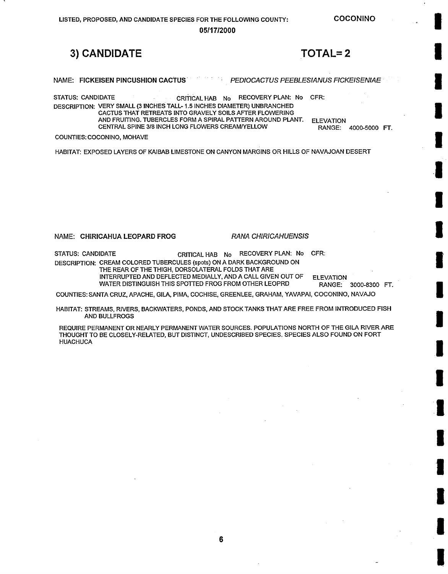**COCONINO** 

**05/17•2000** 

# **3) CANDIDATE TOTAL= 2**

NAME: FICKEISEN PINCUSHION CACTUS *PEDIOCACTUS PEEBLESIANUS FICKEISENIAE* 

STATUS: CANDIDATE CRITICAL HAB No RECOVERY PLAN: No CFR: DESCRIPTION: VERY SMALL (3 INCHES TALL- 1.5 INCHES DIAMETER) UNBRANCHED CACTUS THAT RETREATS INTO GRAVELY SOILS AFTER FLOWERING AND FRUITING. TUBERCLES FORM A SPIRAL PATTERN AROUND PLANT. CENTRAL SPINE 3/8 INCH LONG FLOWERS CREAM/YELLOW

ELEVATION RANGE: 4000-5000 FT.

COUNTIES: COCONINO, MOHAVE

HABITAT: EXPOSED LAYERS OF KAIBAB LIMESTONE ON CANYON MARGINS OR HILLS OF NAVAJOAN DESERT

### **NAME: CHIRICAHUA LEOPARD FROG** *RANA CHIRICAHUENSIS*

STATUS: CANDIDATE CRITICAL HAB No RECOVERY PLAN: No CFR: DESCRIPTION: CREAM COLORED TUBERCULES (spots) ON A DARK BACKGROUND ON THE REAR OF THE THIGH, DORSOLATERAL FOLDS THAT ARE INTERRUPTED AND DEFLECTED MEDIALLY, AND A CALL GIVEN OUT OF ELEVATION

WATER DISTINGUISH THIS SPOTTED FROG FROM OTHER LEOPRD **RANGE:** 3000-8300 FT.

COUNTIES: SANTA CRUZ, APACHE, GILA, PIMA, COCHISE, GREENLEE, GRAHAM, YAVAPAI, COCONINO, NAVAJO

HABITAT: STREAMS, RIVERS, BACKWATERS, PONDS, AND STOCK TANKS THAT ARE FREE FROM INTRODUCED FISH AND BULLFROGS

REQUIRE PERMANENT OR NEARLY PERMANENT WATER SOURCES. POPULATIONS NORTH OF THE GILA RIVER ARE THOUGHT TO BE CLOSELY-RELATED, BUT DISTINCT, UNDESCRIBED SPECIES. SPECIES ALSO FOUND ON FORT HUACHUCA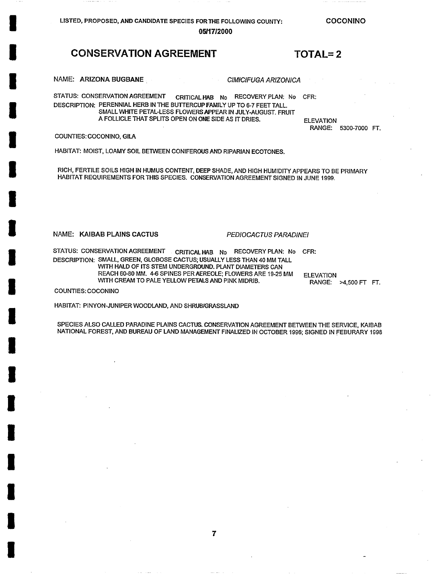LISTED, PROPOSED, AND CANDIDATE SPECIES FOR THE FOLLOWING COUNTY:

COCONINO

RANGE: 5300-7000 FT.

### 05/17/2000

## **CONSERVATION AGREEMENT TOTAL=2**

NAME: ARIZONA BUGBANE *CIMICtFUGA ARIZONICA* 

STATUS: CONSERVATION AGREEMENT CRITICAL HAB No RECOVERY PLAN: No CFR: DESCRIPTION: PERENNIAL HERB IN THE BUTTERCUP FAMILY UP TO 6-7 FEET TALL. SMALL WHITE PETAL-LESS FLOWERS APPEAR IN JULY-AUGUST. FRUIT A FOLLICLE THAT SPLITS OPEN ON ONE SiDE AS IT DRIES. ELEVATION

COUNTIES: COCONINO, GILA

**I** 

**I** 

**I** 

**I** 

**I** 

**I** 

**I** 

**I** 

**I** 

**I** 

**I** 

**I** 

**I** 

**I** 

**I** 

**I** 

**I** 

**I** 

**I** 

HABITAT: MOIST, LOAMY SOIL BETWEEN CONIFEROUS AND RIPARIAN ECOTONES.

RICH, FERTILE SOILS HIGH IN HUMUS CONTENT, DEEP SHADE, AND HIGH HUMIDITY APPEARS TO BE PRIMARY HABITAT REQUIREMENTS FOR THIS SPECIES. CONSERVATION AGREEMENT SIGNED IN JUNE 1999.

NAME: KAIBAB PLAINS **CACTUS** *PEDIOCACTUS PARADINEI* 

STATUS: CONSERVATION AGREEMENT CRITICAL HAB No RECOVERY PLAN: No CFR: DESCRIPTION: SMALL, GREEN, GLOBOSE CACTUS; USUALLY LESS THAN 40 MM TALL WITH HALD OF ITS STEM UNDERGROUND. PLANT DIAMETERS CAN REACH 60-80 MM. 4-6 SPINES PERAEREOLE; FLOWERS ARE 19-25 MM WITH CREAM TO PALE YELLOW PETALS AND PINK MIDRIB.

ELEVATION RANGE: >4,500 FT FT.

COUNTIES: COCONINO

HABITAT: PINYON-JUNIPER WOODLAND, AND SHRUB/GRASSLAND

SPECIES ALSO CALLED PARADINE PLAINS CACTUS. CONSERVATION AGREEMENT BETWEEN THE SERVICE, KAIBAB NATIONAL FOREST, AND BUREAU OF LAND MANAGEMENT FINALIZED IN OCTOBER 1996; SIGNED IN FEBURARY 1998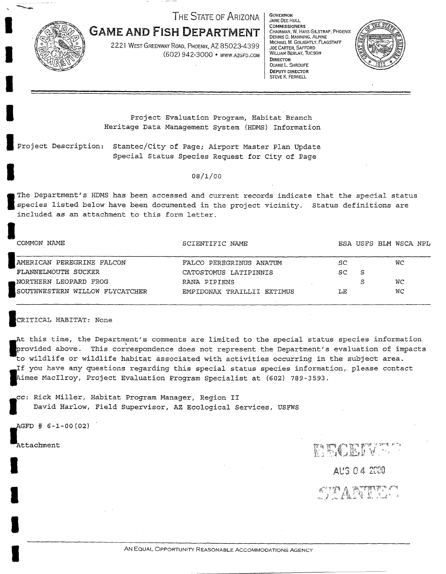**THE STATE OF ARIZONA** 



**GAME AND FISH DEPARTMENT**  2221 WEST GREENWAY ROAD, PHOENIX, AZ 85023-4399

(602) 942-3000 • WWW.AZGFD.COM

GOVERNOR JANE DEE HULL COMMISSIONERS CHAIRMAN. W. HAYS GILSTRAP. PHOENIX DENNIS D. MANNING, ALPINE MICHAEL M. GOLIGHTLY. FLAGSTAFF WILLIAM BERLAT, TUCSON<br>DIRECTOR DUANE L SHROUFE DEPUTY DIRFCTOR

STEVE K. FERRELL



Project Evaluation Program, Habitat Branch Heritage Data Management System (HDMS) Information

Project Description: *Stantec/City* of Page; Airport Master Plan Update Special Status Species Request for City of Page

**o8I~/oo** 

**I** species listed below have been documented in the project vicinity. Status definitions are The Department's HDMS has been accessed and current records indicate that the special status included as an attachment to this form letter.

SCIENTIFIC NAME **ESA USFS BLM WSCA NPL** 

| AMERICAN PEREGRINE FALCON      | FALCO PEREGRINUS ANATUM    | SC     |   | WС |
|--------------------------------|----------------------------|--------|---|----|
| FLANNELMOUTH SUCKER            | CATOSTOMUS LATIPINNIS      | SC.    | S |    |
| NORTHERN LEOPARD FROG          | RANA PIPIENS               |        |   | WC |
| SOUTHWESTERN WILLOW FLYCATCHER | EMPIDONAX TRAILLII EXTIMUS | T . F. |   | WС |

### ICRITICAL HABITAT: None

At this time, the Department's comments are limited to the special status species information rovided above. This *correspondence* does not represent the Department's evaluation of impacts to wildlife or wildlife habitat associated with activities occurring in the subject area.  $\,$ **i** f you have any questions *regarding* this special status species *information,,* please contact imee MacIlroy, Project Evaluation Program Specialist at (602) 789-3593.

**Cc: Rick Miller, Habitat Program Manager, Region II<br>David Harlow, Field Supervisor, AZ Ecological Se** David Harlow, Field Supervisor, AZ Ecological Services, USFWS

GFD # 6-1-00 (02)

Attachment

**I** 

**I** 

**I** COMMON NAME

**EXAMPLE 2008**<br> **Against Again Again** Again Again Again Again Again Again Again Again Again Again Again Again Again Again Again Again Again Again Again Again Again Again Again Again Again Again Again Again Again Again Agai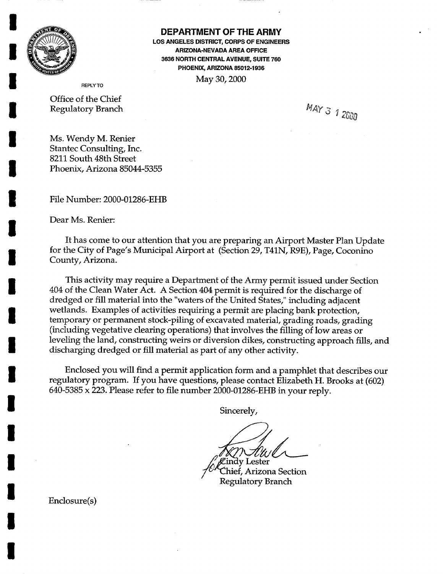

**I** 

**I** 

**I** 

**I** 

**I** 

**I** 

**I** 

**I** 

**I** 

**I** 

**I** 

**I** 

**I** 

**I** 

**I** 

## DEPARTMENT OF THE **ARMY**

LOS ANGELES DISTRICT, CORPS OF ENGINEERS ARIZONA-NEVADA AREA OFFICE 3636 NORTH CENTRAL AVENUE, SUITE 760 PHOENIX, ARIZONA 85012-1936 May 30, 2000

Office of the Chief Regulatory Branch  $MAY \frac{3}{5}$  1 2000

Ms. Wendy M. Renier Stantec Consulting, Inc. 8211 South 48th Street Phoenix, Arizona 85044-5355

**I** File Number: 2000-01286-EHB

Dear Ms. Renier:

It has come to our attention that you are preparing an Airport Master Plan Update for the City of Page's Municipal Airport at (Section 29, T41N, R9E), Page, Coconino County, Arizona.

This activity may require a Department of the Army permit issued under Section 404 of the Clean Water Act. A Section 404 permit is required for the discharge of dredged or fill material into the "waters of the United States," including adjacent wetlands. Examples of activities requiring a permit are placing bank protection, temporary or permanent stock-piling of excavated material, grading roads, grading (including vegetative clearing operations) that involves the filling of low areas or leveling the land, constructing weirs or diversion dikes, constructing approach fills, and discharging dredged or fill material as part of any other activity.

Enclosed you will find a permit application form and a pamphlet that describes our regulatory program. If you have questions, please contact Elizabeth H. Brooks at (602) 640-5385 x 223. Please refer to file number 2000-01286-EHB in your reply.

Sincerely,

Cindy Lester<br>Chief, Arizona Section Regulatory Branch

**I** Enclosure(s)